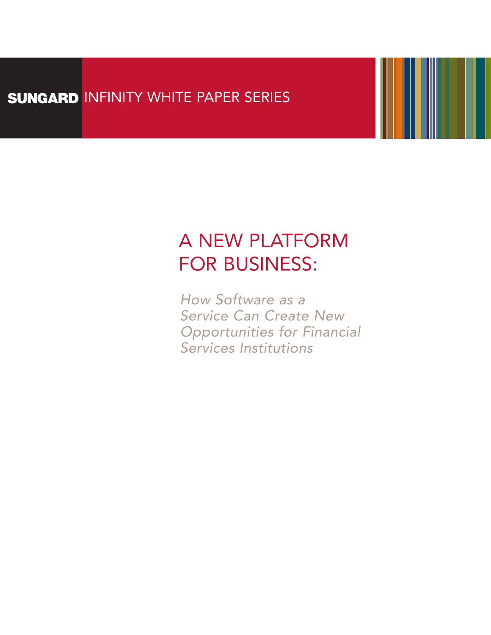# SUNGARD INFINITY WHITE PAPER SERIES

# A NEW PLATFORM FOR BUSINESS:

*How Software as a Service Can Create New Opportunities for Financial Services Institutions*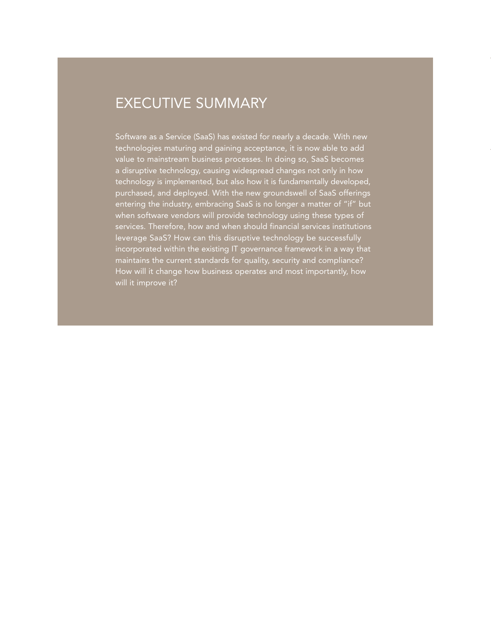### EXECUTIVE SUMMARY

Software as a Service (SaaS) has existed for nearly a decade. With new technologies maturing and gaining acceptance, it is now able to add value to mainstream business processes. In doing so, SaaS becomes a disruptive technology, causing widespread changes not only in how technology is implemented, but also how it is fundamentally developed, purchased, and deployed. With the new groundswell of SaaS offerings entering the industry, embracing SaaS is no longer a matter of "if" but when software vendors will provide technology using these types of services. Therefore, how and when should financial services institutions leverage SaaS? How can this disruptive technology be successfully incorporated within the existing IT governance framework in a way that maintains the current standards for quality, security and compliance? How will it change how business operates and most importantly, how will it improve it?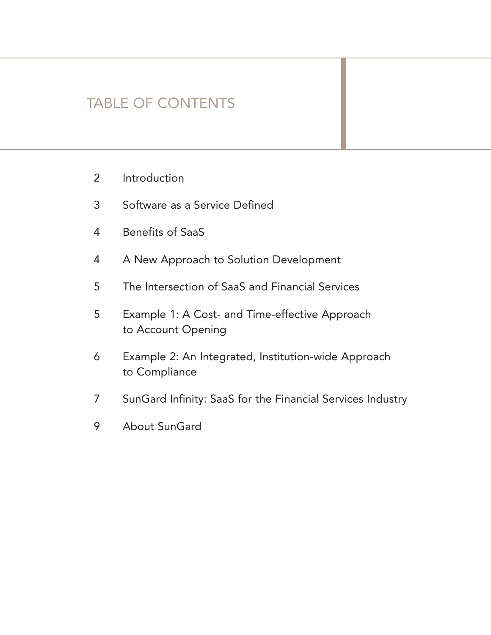### TABLE OF CONTENTS

- 2 Introduction
- 3 Software as a Service Defined
- 4 Benefits of SaaS
- 4 A New Approach to Solution Development
- 5 The Intersection of SaaS and Financial Services
- 5 Example 1: A Cost- and Time-effective Approach to Account Opening
- 6 Example 2: An Integrated, Institution-wide Approach to Compliance
- 7 SunGard Infinity: SaaS for the Financial Services Industry
- 9 About SunGard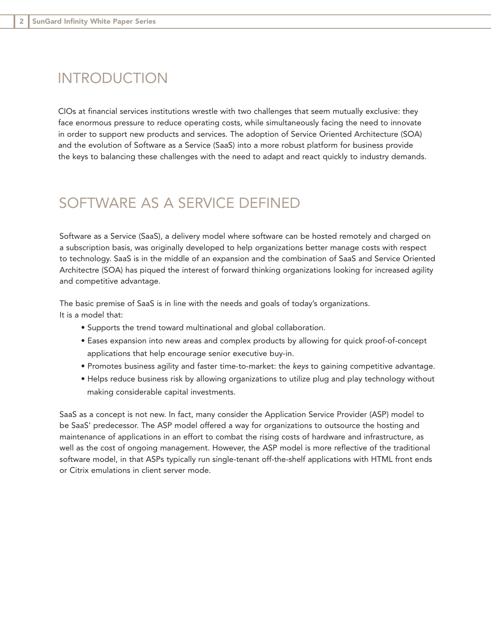### INTRODUCTION

CIOs at financial services institutions wrestle with two challenges that seem mutually exclusive: they face enormous pressure to reduce operating costs, while simultaneously facing the need to innovate in order to support new products and services. The adoption of Service Oriented Architecture (SOA) and the evolution of Software as a Service (SaaS) into a more robust platform for business provide the keys to balancing these challenges with the need to adapt and react quickly to industry demands.

### SOFTWARE AS A SERVICE DEFINED

Software as a Service (SaaS), a delivery model where software can be hosted remotely and charged on a subscription basis, was originally developed to help organizations better manage costs with respect to technology. SaaS is in the middle of an expansion and the combination of SaaS and Service Oriented Architectre (SOA) has piqued the interest of forward thinking organizations looking for increased agility and competitive advantage.

The basic premise of SaaS is in line with the needs and goals of today's organizations. It is a model that:

- Supports the trend toward multinational and global collaboration.
- Eases expansion into new areas and complex products by allowing for quick proof-of-concept applications that help encourage senior executive buy-in.
- Promotes business agility and faster time-to-market: the *keys* to gaining competitive advantage.
- Helps reduce business risk by allowing organizations to utilize plug and play technology without making considerable capital investments.

SaaS as a concept is not new. In fact, many consider the Application Service Provider (ASP) model to be SaaS' predecessor. The ASP model offered a way for organizations to outsource the hosting and maintenance of applications in an effort to combat the rising costs of hardware and infrastructure, as well as the cost of ongoing management. However, the ASP model is more reflective of the traditional software model, in that ASPs typically run single-tenant off-the-shelf applications with HTML front ends or Citrix emulations in client server mode.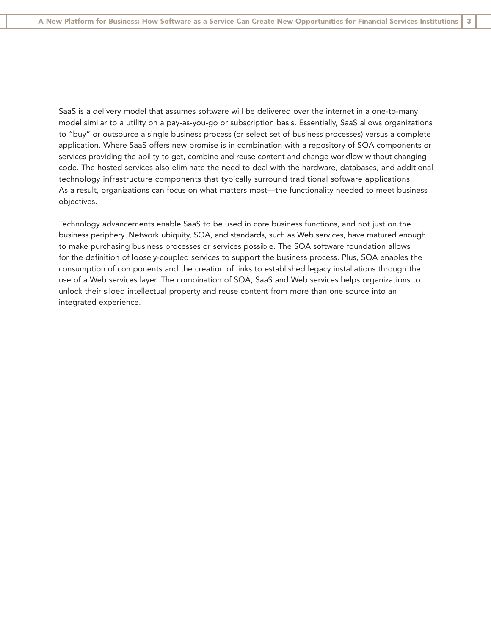SaaS is a delivery model that assumes software will be delivered over the internet in a one-to-many model similar to a utility on a pay-as-you-go or subscription basis. Essentially, SaaS allows organizations to "buy" or outsource a single business process (or select set of business processes) versus a complete application. Where SaaS offers new promise is in combination with a repository of SOA components or services providing the ability to get, combine and reuse content and change workflow without changing code. The hosted services also eliminate the need to deal with the hardware, databases, and additional technology infrastructure components that typically surround traditional software applications. As a result, organizations can focus on what matters most—the functionality needed to meet business objectives.

Technology advancements enable SaaS to be used in core business functions, and not just on the business periphery. Network ubiquity, SOA, and standards, such as Web services, have matured enough to make purchasing business processes or services possible. The SOA software foundation allows for the definition of loosely-coupled services to support the business process. Plus, SOA enables the consumption of components and the creation of links to established legacy installations through the use of a Web services layer. The combination of SOA, SaaS and Web services helps organizations to unlock their siloed intellectual property and reuse content from more than one source into an integrated experience.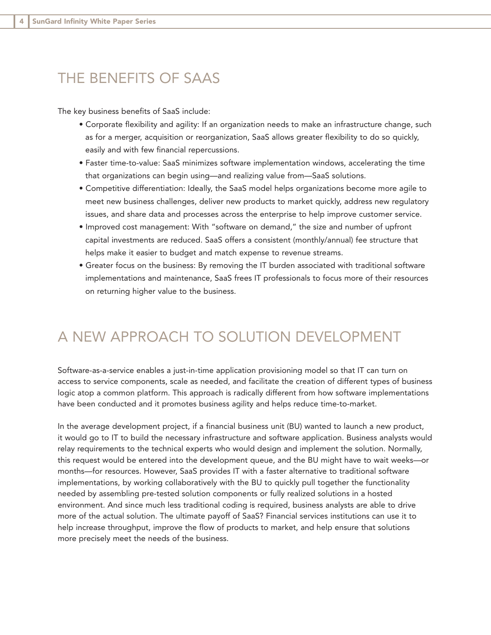### THE BENEFITS OF SAAS

The key business benefits of SaaS include:

- Corporate flexibility and agility: If an organization needs to make an infrastructure change, such as for a merger, acquisition or reorganization, SaaS allows greater flexibility to do so quickly, easily and with few financial repercussions.
- Faster time-to-value: SaaS minimizes software implementation windows, accelerating the time that organizations can begin using—and realizing value from—SaaS solutions.
- Competitive differentiation: Ideally, the SaaS model helps organizations become more agile to meet new business challenges, deliver new products to market quickly, address new regulatory issues, and share data and processes across the enterprise to help improve customer service.
- Improved cost management: With "software on demand," the size and number of upfront capital investments are reduced. SaaS offers a consistent (monthly/annual) fee structure that helps make it easier to budget and match expense to revenue streams.
- Greater focus on the business: By removing the IT burden associated with traditional software implementations and maintenance, SaaS frees IT professionals to focus more of their resources on returning higher value to the business.

### A NEW APPROACH TO SOLUTION DEVELOPMENT

Software-as-a-service enables a just-in-time application provisioning model so that IT can turn on access to service components, scale as needed, and facilitate the creation of different types of business logic atop a common platform. This approach is radically different from how software implementations have been conducted and it promotes business agility and helps reduce time-to-market.

In the average development project, if a financial business unit (BU) wanted to launch a new product, it would go to IT to build the necessary infrastructure and software application. Business analysts would relay requirements to the technical experts who would design and implement the solution. Normally, this request would be entered into the development queue, and the BU might have to wait weeks—or months—for resources. However, SaaS provides IT with a faster alternative to traditional software implementations, by working collaboratively with the BU to quickly pull together the functionality needed by assembling pre-tested solution components or fully realized solutions in a hosted environment. And since much less traditional coding is required, business analysts are able to drive more of the actual solution. The ultimate payoff of SaaS? Financial services institutions can use it to help increase throughput, improve the flow of products to market, and help ensure that solutions more precisely meet the needs of the business.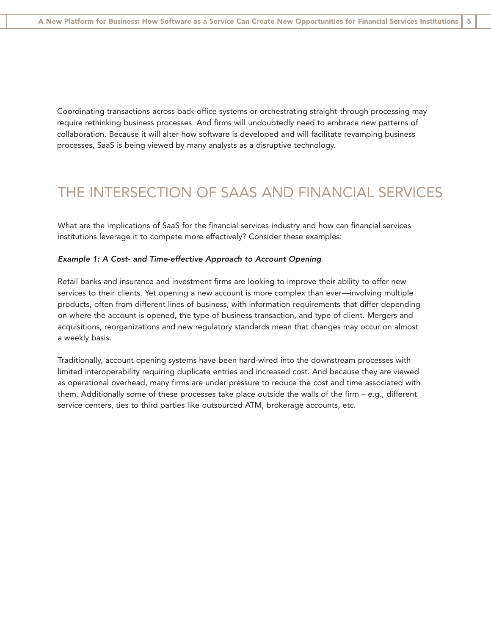Coordinating transactions across back-office systems or orchestrating straight-through processing may require rethinking business processes. And firms will undoubtedly need to embrace new patterns of collaboration. Because it will alter how software is developed and will facilitate revamping business processes, SaaS is being viewed by many analysts as a disruptive technology.

### THE INTERSECTION OF SAAS AND FINANCIAL SERVICES

What are the implications of SaaS for the financial services industry and how can financial services institutions leverage it to compete more effectively? Consider these examples:

#### *Example 1: A Cost- and Time-effective Approach to Account Opening*

Retail banks and insurance and investment firms are looking to improve their ability to offer new services to their clients. Yet opening a new account is more complex than ever—involving multiple products, often from different lines of business, with information requirements that differ depending on where the account is opened, the type of business transaction, and type of client. Mergers and acquisitions, reorganizations and new regulatory standards mean that changes may occur on almost a weekly basis.

Traditionally, account opening systems have been hard-wired into the downstream processes with limited interoperability requiring duplicate entries and increased cost. And because they are viewed as operational overhead, many firms are under pressure to reduce the cost and time associated with them. Additionally some of these processes take place outside the walls of the firm – e.g., different service centers, ties to third parties like outsourced ATM, brokerage accounts, etc.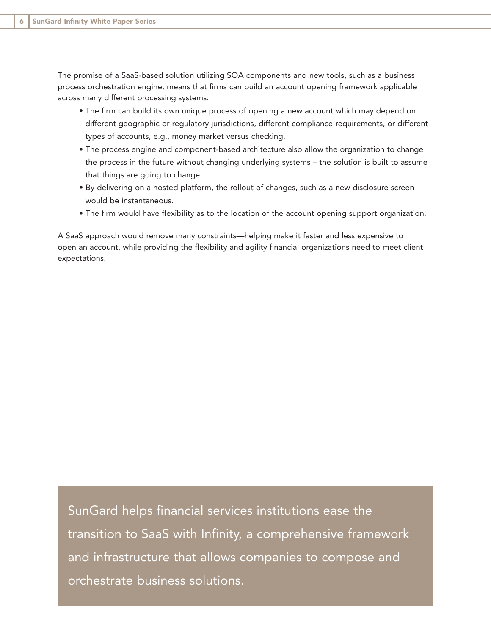The promise of a SaaS-based solution utilizing SOA components and new tools, such as a business process orchestration engine, means that firms can build an account opening framework applicable across many different processing systems:

- The firm can build its own unique process of opening a new account which may depend on different geographic or regulatory jurisdictions, different compliance requirements, or different types of accounts, e.g., money market versus checking.
- The process engine and component-based architecture also allow the organization to change the process in the future without changing underlying systems – the solution is built to assume that things are going to change.
- By delivering on a hosted platform, the rollout of changes, such as a new disclosure screen would be instantaneous.
- The firm would have flexibility as to the location of the account opening support organization.

A SaaS approach would remove many constraints—helping make it faster and less expensive to open an account, while providing the flexibility and agility financial organizations need to meet client expectations.

SunGard helps financial services institutions ease the transition to SaaS with Infinity, a comprehensive framework and infrastructure that allows companies to compose and orchestrate business solutions.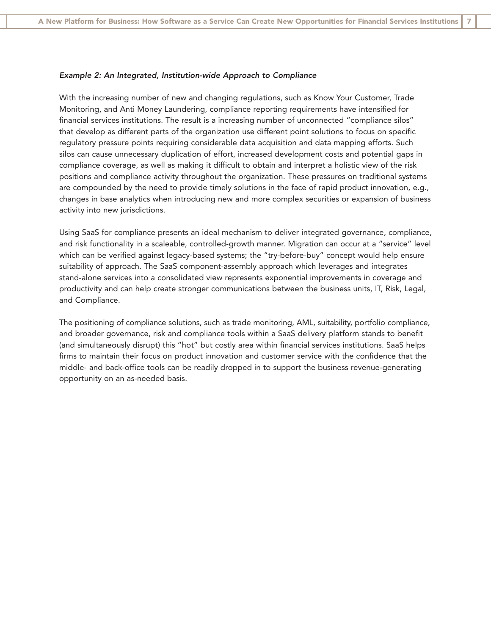#### *Example 2: An Integrated, Institution-wide Approach to Compliance*

With the increasing number of new and changing regulations, such as Know Your Customer, Trade Monitoring, and Anti Money Laundering, compliance reporting requirements have intensified for financial services institutions. The result is a increasing number of unconnected "compliance silos" that develop as different parts of the organization use different point solutions to focus on specific regulatory pressure points requiring considerable data acquisition and data mapping efforts. Such silos can cause unnecessary duplication of effort, increased development costs and potential gaps in compliance coverage, as well as making it difficult to obtain and interpret a holistic view of the risk positions and compliance activity throughout the organization. These pressures on traditional systems are compounded by the need to provide timely solutions in the face of rapid product innovation, e.g., changes in base analytics when introducing new and more complex securities or expansion of business activity into new jurisdictions.

Using SaaS for compliance presents an ideal mechanism to deliver integrated governance, compliance, and risk functionality in a scaleable, controlled-growth manner. Migration can occur at a "service" level which can be verified against legacy-based systems; the "try-before-buy" concept would help ensure suitability of approach. The SaaS component-assembly approach which leverages and integrates stand-alone services into a consolidated view represents exponential improvements in coverage and productivity and can help create stronger communications between the business units, IT, Risk, Legal, and Compliance.

The positioning of compliance solutions, such as trade monitoring, AML, suitability, portfolio compliance, and broader governance, risk and compliance tools within a SaaS delivery platform stands to benefit (and simultaneously disrupt) this "hot" but costly area within financial services institutions. SaaS helps firms to maintain their focus on product innovation and customer service with the confidence that the middle- and back-office tools can be readily dropped in to support the business revenue-generating opportunity on an as-needed basis.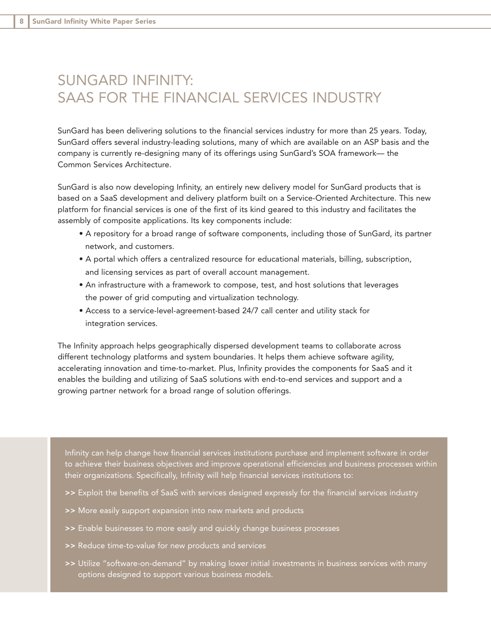### SUNGARD INFINITY: SAAS FOR THE FINANCIAL SERVICES INDUSTRY

SunGard has been delivering solutions to the financial services industry for more than 25 years. Today, SunGard offers several industry-leading solutions, many of which are available on an ASP basis and the company is currently re-designing many of its offerings using SunGard's SOA framework— the Common Services Architecture.

SunGard is also now developing Infinity, an entirely new delivery model for SunGard products that is based on a SaaS development and delivery platform built on a Service-Oriented Architecture. This new platform for financial services is one of the first of its kind geared to this industry and facilitates the assembly of composite applications. Its key components include:

- A repository for a broad range of software components, including those of SunGard, its partner network, and customers.
- A portal which offers a centralized resource for educational materials, billing, subscription, and licensing services as part of overall account management.
- An infrastructure with a framework to compose, test, and host solutions that leverages the power of grid computing and virtualization technology.
- Access to a service-level-agreement-based 24/7 call center and utility stack for integration services.

The Infinity approach helps geographically dispersed development teams to collaborate across different technology platforms and system boundaries. It helps them achieve software agility, accelerating innovation and time-to-market. Plus, Infinity provides the components for SaaS and it enables the building and utilizing of SaaS solutions with end-to-end services and support and a growing partner network for a broad range of solution offerings.

Infinity can help change how financial services institutions purchase and implement software in order to achieve their business objectives and improve operational efficiencies and business processes within their organizations. Specifically, Infinity will help financial services institutions to:

- >> Exploit the benefits of SaaS with services designed expressly for the financial services industry
- >> More easily support expansion into new markets and products
- >> Enable businesses to more easily and quickly change business processes
- >> Reduce time-to-value for new products and services
- >> Utilize "software-on-demand" by making lower initial investments in business services with many options designed to support various business models.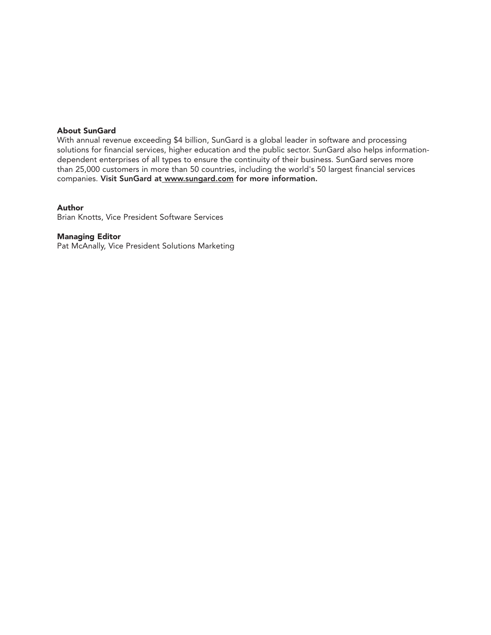#### **About SunGard**

With annual revenue exceeding \$4 billion, SunGard is a global leader in software and processing solutions for financial services, higher education and the public sector. SunGard also helps informationdependent enterprises of all types to ensure the continuity of their business. SunGard serves more than 25,000 customers in more than 50 countries, including the world's 50 largest financial services companies. Visit SunGard at www.sungard.com for more information.

#### **Author**

Brian Knotts, Vice President Software Services

#### **Managing Editor**

Pat McAnally, Vice President Solutions Marketing